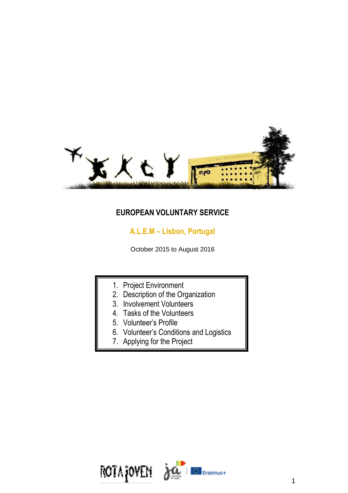

## **EUROPEAN VOLUNTARY SERVICE**

# **A.L.E.M – Lisbon, Portugal**

October 2015 to August 2016

- 1. Project Environment
- 2. Description of the Organization
- 3. Involvement Volunteers
- 4. Tasks of the Volunteers
- 5. Volunteer's Profile
- 6. Volunteer's Conditions and Logistics
- 7. Applying for the Project

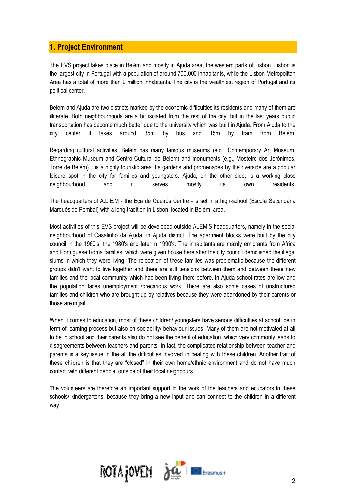## **1. Project Environment**

The EVS project takes place in Belém and mostly in Ajuda area, the western parts of Lisbon. Lisbon is the largest city in Portugal with a population of around 700.000 inhabitants, while the Lisbon Metropolitan Area has a total of more than 2 million inhabitants. The city is the wealthiest region of Portugal and its political center.

Belém and Ajuda are two districts marked by the economic difficulties its residents and many of them are illiterate. Both neighbourhoods are a bit isolated from the rest of the city, but in the last years public transportation has become much better due to the university which was built in Ajuda. From Ajuda to the city center it takes around 35m by bus and 15m by tram from Belém.

Regarding cultural activities, Belém has many famous museums (e.g., Contemporary Art Museum, Ethnographic Museum and Centro Cultural de Belém) and monuments (e.g., Mosteiro dos Jerónimos, Torre de Belém).It is a highly touristic area. Its gardens and promenades by the riverside are a popular leisure spot in the city for families and youngsters. Ajuda, on the other side, is a working class neighbourhood and it serves mostly its own residents.

The headquarters of A.L.E.M - the Eça de Queirós Centre - is set in a high-school (Escola Secundária Marquês de Pombal) with a long tradition in Lisbon, located in Belém area.

Most activities of this EVS project will be developed outside ALEM'S headquarters, namely in the social neighbourhood of Casalinho da Ajuda, in Ajuda district. The apartment blocks were built by the city council in the 1960's, the 1980's and later in 1990's. The inhabitants are mainly emigrants from Africa and Portuguese Roma families, which were given house here after the city council demolished the illegal slums in which they were living. The relocation of these families was problematic because the different groups didn't want to live together and there are still tensions between them and between these new families and the local community which had been living there before. In Ajuda school rates are low and the population faces unemployment /precarious work. There are also some cases of unstructured families and children who are brought up by relatives because they were abandoned by their parents or those are in jail.

When it comes to education, most of these children/ youngsters have serious difficulties at school, be in term of learning process but also on sociability/ behaviour issues. Many of them are not motivated at all to be in school and their parents also do not see the benefit of education, which very commonly leads to disagreements between teachers and parents. In fact, the complicated relationship between teacher and parents is a key issue in the all the difficulties involved in dealing with these children. Another trait of these children is that they are "closed" in their own home/ethnic environment and do not have much contact with different people, outside of their local neighbours.

The volunteers are therefore an important support to the work of the teachers and educators in these schools/ kindergartens, because they bring a new input and can connect to the children in a different way.

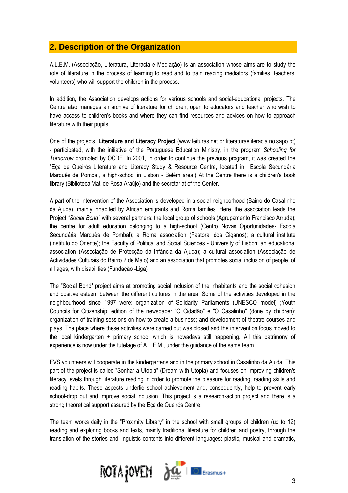## **2. Description of the Organization**

A.L.E.M. (Associação, Literatura, Literacia e Mediação) is an association whose aims are to study the role of literature in the process of learning to read and to train reading mediators (families, teachers, volunteers) who will support the children in the process.

In addition, the Association develops actions for various schools and social-educational projects. The Centre also manages an archive of literature for children, open to educators and teacher who wish to have access to children's books and where they can find resources and advices on how to approach literature with their pupils.

One of the projects, **Literature and Literacy Project** (www.leituras.net or literaturaeliteracia.no.sapo.pt) - participated, with the initiative of the Portuguese Education Ministry, in the program *Schooling for Tomorrow* promoted by OCDE. In 2001, in order to continue the previous program, it was created the "Eça de Queirós Literature and Literacy Study & Resource Centre, located in Escola Secundária Marquês de Pombal, a high-school in Lisbon - Belém area.) At the Centre there is a children's book library (Biblioteca Matilde Rosa Araújo) and the secretariat of the Center.

A part of the intervention of the Association is developed in a social neighborhood (Bairro do Casalinho da Ajuda), mainly inhabited by African emigrants and Roma families. Here, the association leads the Project *"Social Bond"* with several partners: the local group of schools (Agrupamento Francisco Arruda); the centre for adult education belonging to a high-school (Centro Novas Oportunidades- Escola Secundária Marquês de Pombal); a Roma association (Pastoral dos Ciganos); a cultural institute (Instituto do Oriente); the Faculty of Political and Social Sciences - University of Lisbon; an educational association (Associação de Protecção da Infância da Ajuda); a cultural association (Associação de Actividades Culturais do Bairro 2 de Maio) and an association that promotes social inclusion of people, of all ages, with disabilities (Fundação -Liga)

The "Social Bond" project aims at promoting social inclusion of the inhabitants and the social cohesion and positive esteem between the different cultures in the area. Some of the activities developed in the neighbourhood since 1997 were: organization of Solidarity Parliaments (UNESCO model) ;Youth Councils for Citizenship; edition of the newspaper "O Cidadão" e "O Casalinho" (done by children); organization of training sessions on how to create a business; and development of theatre courses and plays. The place where these activities were carried out was closed and the intervention focus moved to the local kindergarten + primary school which is nowadays still happening. All this patrimony of experience is now under the tutelage of A.L.E.M., under the guidance of the same team.

EVS volunteers will cooperate in the kindergartens and in the primary school in Casalinho da Ajuda. This part of the project is called "Sonhar a Utopia" (Dream with Utopia) and focuses on improving children's literacy levels through literature reading in order to promote the pleasure for reading, reading skills and reading habits. These aspects underlie school achievement and, consequently, help to prevent early school-drop out and improve social inclusion. This project is a research-action project and there is a strong theoretical support assured by the Eça de Queirós Centre.

The team works daily in the "Proximity Library" in the school with small groups of children (up to 12) reading and exploring books and texts, mainly traditional literature for children and poetry, through the translation of the stories and linguistic contents into different languages: plastic, musical and dramatic,

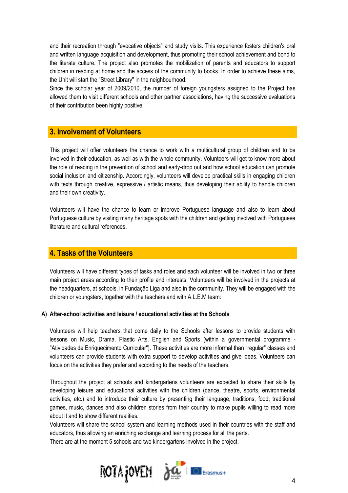and their recreation through "evocative objects" and study visits. This experience fosters children's oral and written language acquisition and development, thus promoting their school achievement and bond to the literate culture. The project also promotes the mobilization of parents and educators to support children in reading at home and the access of the community to books. In order to achieve these aims, the Unit will start the "Street Library" in the neighbourhood.

Since the scholar year of 2009/2010, the number of foreign youngsters assigned to the Project has allowed them to visit different schools and other partner associations, having the successive evaluations of their contribution been highly positive.

### **3. Involvement of Volunteers**

This project will offer volunteers the chance to work with a multicultural group of children and to be involved in their education, as well as with the whole community. Volunteers will get to know more about the role of reading in the prevention of school and early-drop out and how school education can promote social inclusion and citizenship. Accordingly, volunteers will develop practical skills in engaging children with texts through creative, expressive / artistic means, thus developing their ability to handle children and their own creativity.

Volunteers will have the chance to learn or improve Portuguese language and also to learn about Portuguese culture by visiting many heritage spots with the children and getting involved with Portuguese literature and cultural references.

### **4. Tasks of the Volunteers**

Volunteers will have different types of tasks and roles and each volunteer will be involved in two or three main project areas according to their profile and interests. Volunteers will be involved in the projects at the headquarters, at schools, in Fundação Liga and also in the community. They will be engaged with the children or youngsters, together with the teachers and with A.L.E.M team:

#### **A) After-school activities and leisure / educational activities at the Schools**

Volunteers will help teachers that come daily to the Schools after lessons to provide students with lessons on Music, Drama, Plastic Arts, English and Sports (within a governmental programme - "Atividades de Enriquecimento Curricular"). These activities are more informal than "regular" classes and volunteers can provide students with extra support to develop activities and give ideas. Volunteers can focus on the activities they prefer and according to the needs of the teachers.

Throughout the project at schools and kindergartens volunteers are expected to share their skills by developing leisure and educational activities with the children (dance, theatre, sports, environmental activities, etc.) and to introduce their culture by presenting their language, traditions, food, traditional games, music, dances and also children stories from their country to make pupils willing to read more about it and to show different realities.

Volunteers will share the school system and learning methods used in their countries with the staff and educators, thus allowing an enriching exchange and learning process for all the parts.

There are at the moment 5 schools and two kindergartens involved in the project.

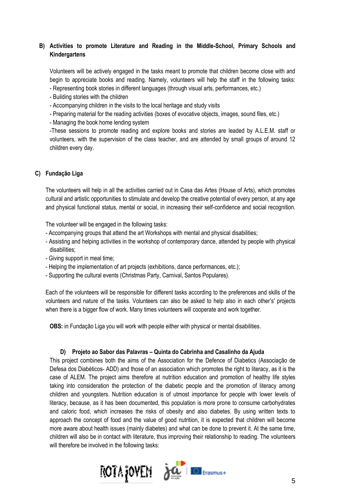### **B) Activities to promote Literature and Reading in the Middle-School, Primary Schools and Kindergartens**

Volunteers will be actively engaged in the tasks meant to promote that children become close with and begin to appreciate books and reading. Namely, volunteers will help the staff in the following tasks: - Representing book stories in different languages (through visual arts, performances, etc.)

- Building stories with the children
- Accompanying children in the visits to the local heritage and study visits
- Preparing material for the reading activities (boxes of evocative objects, images, sound files, etc.)
- Managing the book home lending system

-These sessions to promote reading and explore books and stories are leaded by A.L.E.M. staff or volunteers, with the supervision of the class teacher, and are attended by small groups of around 12 children every day.

#### **C) Fundação Liga**

The volunteers will help in all the activities carried out in Casa das Artes (House of Arts), which promotes cultural and artistic opportunities to stimulate and develop the creative potential of every person, at any age and physical functional status, mental or social, in increasing their self-confidence and social recognition.

The volunteer will be engaged in the following tasks:

- Accompanying groups that attend the art Workshops with mental and physical disabilities;
- Assisting and helping activities in the workshop of contemporary dance, attended by people with physical disabilities;
- Giving support in meal time;
- Helping the implementation of art projects (exhibitions, dance performances, etc.);
- Supporting the cultural events (Christmas Party, Carnival, Santos Populares).

Each of the volunteers will be responsible for different tasks according to the preferences and skills of the volunteers and nature of the tasks. Volunteers can also be asked to help also in each other's' projects when there is a bigger flow of work. Many times volunteers will cooperate and work together.

**OBS:** in Fundação Liga you will work with people either with physical or mental disabilities.

#### **D) Projeto ao Sabor das Palavras – Quinta do Cabrinha and Casalinho da Ajuda**

This project combines both the aims of the Association for the Defence of Diabetics (Associação de Defesa dos Diabéticos- ADD) and those of an association which promotes the right to literacy, as it is the case of ALEM. The project aims therefore at nutrition education and promotion of healthy life styles taking into consideration the protection of the diabetic people and the promotion of literacy among children and youngsters. Nutrition education is of utmost importance for people with lower levels of literacy, because, as it has been documented, this population is more prone to consume carbohydrates and caloric food, which increases the risks of obesity and also diabetes. By using written texts to approach the concept of food and the value of good nutrition, it is expected that children will become more aware about health issues (mainly diabetes) and what can be done to prevent it. At the same time, children will also be in contact with literature, thus improving their relationship to reading. The volunteers will therefore be involved in the following tasks:

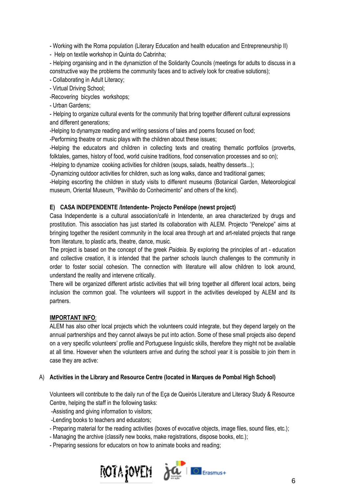- Working with the Roma population (Literary Education and health education and Entrepreneurship II)

- Help on textile workshop in Quinta do Cabrinha;

- Helping organising and in the dynamiztion of the Solidarity Councils (meetings for adults to discuss in a constructive way the problems the community faces and to actively look for creative solutions);

- Collaborating in Adult Literacy;

- Virtual Driving School;

-Recovering bicycles workshops;

- Urban Gardens;

- Helping to organize cultural events for the community that bring together different cultural expressions and different generations;

-Helping to dynamyze reading and writing sessions of tales and poems focused on food;

-Performing theatre or music plays with the children about these issues;

-Helping the educators and children in collecting texts and creating thematic portfolios (proverbs, folktales, games, history of food, world cuisine traditions, food conservation processes and so on);

-Helping to dynamize cooking activities for children (soups, salads, healthy desserts...);

-Dynamizing outdoor activities for children, such as long walks, dance and traditional games;

-Helping escorting the children in study visits to different museums (Botanical Garden, Meteorological museum, Oriental Museum, "Pavilhão do Conhecimento" and others of the kind).

#### **E) CASA INDEPENDENTE /Intendente- Projecto Penélope (newst project)**

Casa Independente is a cultural association/café in Intendente, an area characterized by drugs and prostitution. This association has just started its collaboration with ALEM. Projecto "Penelope" aims at bringing together the resident community in the local area through art and art-related projects that range from literature, to plastic arts, theatre, dance, music.

The project is based on the concept of the greek *Paideia*. By exploring the principles of art - education and collective creation, it is intended that the partner schools launch challenges to the community in order to foster social cohesion. The connection with literature will allow children to look around, understand the reality and intervene critically.

There will be organized different artistic activities that will bring together all different local actors, being inclusion the common goal. The volunteers will support in the activities developed by ALEM and its partners.

#### **IMPORTANT INFO**:

ALEM has also other local projects which the volunteers could integrate, but they depend largely on the annual partnerships and they cannot always be put into action. Some of these small projects also depend on a very specific volunteers' profile and Portuguese linguistic skills, therefore they might not be available at all time. However when the volunteers arrive and during the school year it is possible to join them in case they are active:

### A) **Activities in the Library and Resource Centre (located in Marques de Pombal High School)**

Volunteers will contribute to the daily run of the Eça de Queirós Literature and Literacy Study & Resource Centre, helping the staff in the following tasks:

-Assisting and giving information to visitors;

-Lending books to teachers and educators;

- Preparing material for the reading activities (boxes of evocative objects, image files, sound files, etc.);

- Managing the archive (classify new books, make registrations, dispose books, etc.);

- Preparing sessions for educators on how to animate books and reading;

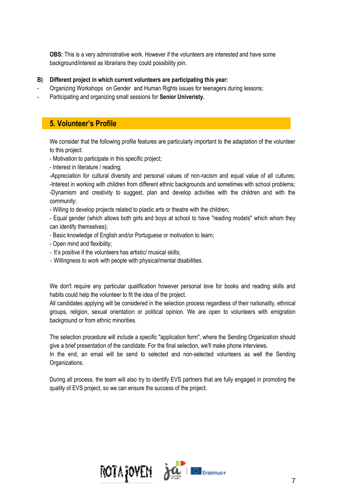**OBS:** This is a very administrative work. However if the volunteers are interested and have some background/interest as librarians they could possibility join.

- **B) Different project in which current volunteers are participating this year:**
- Organizing Workshops on Gender and Human Rights issues for teenagers during lessons;
- Participating and organizing small sessions for **Senior Univeristy.**

### **5. Volunteer's Profile**

We consider that the following profile features are particularly important to the adaptation of the volunteer to this project:

- Motivation to participate in this specific project;
- Interest in literature / reading;

-Appreciation for cultural diversity and personal values of non-racism and equal value of all cultures; -Interest in working with children from different ethnic backgrounds and sometimes with school problems; -Dynamism and creativity to suggest, plan and develop activities with the children and with the community;

- Willing to develop projects related to plastic arts or theatre with the children;

- Equal gender (which allows both girls and boys at school to have "reading models" which whom they can identify themselves);

- Basic knowledge of English and/or Portuguese or motivation to learn;
- Open mind and flexibility;
- It's positive if the volunteers has artistic/ musical skills;
- Willingness to work with people with physical/mental disabilities.

We don't require any particular qualification however personal love for books and reading skills and habits could help the volunteer to fit the idea of the project.

All candidates applying will be considered in the selection process regardless of their nationality, ethnical groups, religion, sexual orientation or political opinion. We are open to volunteers with emigration background or from ethnic minorities.

The selection procedure will include a specific "application form", where the Sending Organization should give a brief presentation of the candidate. For the final selection, we'll make phone interviews.

In the end, an email will be send to selected and non-selected volunteers as well the Sending Organizations.

During all process, the team will also try to identify EVS partners that are fully engaged in promoting the quality of EVS project, so we can ensure the success of the project.

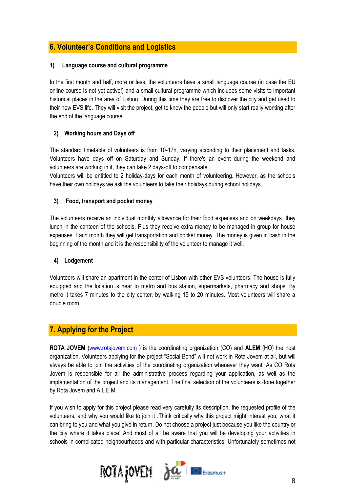## **6. Volunteer's Conditions and Logistics**

### **1) Language course and cultural programme**

In the first month and half, more or less, the volunteers have a small language course (in case the EU online course is not yet active!) and a small cultural programme which includes some visits to important historical places in the area of Lisbon. During this time they are free to discover the city and get used to their new EVS life. They will visit the project, get to know the people but will only start really working after the end of the language course.

### **2) Working hours and Days off**

The standard timetable of volunteers is from 10-17h, varying according to their placement and tasks. Volunteers have days off on Saturday and Sunday. If there's an event during the weekend and volunteers are working in it, they can take 2 days-off to compensate.

Volunteers will be entitled to 2 holiday-days for each month of volunteering. However, as the schools have their own holidays we ask the volunteers to take their holidays during school holidays.

### **3) Food, transport and pocket money**

The volunteers receive an individual monthly allowance for their food expenses and on weekdays they lunch in the canteen of the schools. Plus they receive extra money to be managed in group for house expenses. Each month they will get transportation and pocket money. The money is given in cash in the beginning of the month and it is the responsibility of the volunteer to manage it well.

### **4) Lodgement**

Volunteers will share an apartment in the center of Lisbon with other EVS volunteers. The house is fully equipped and the location is near to metro and bus station, supermarkets, pharmacy and shops. By metro it takes 7 minutes to the city center, by walking 15 to 20 minutes. Most volunteers will share a double room.

## **7. Applying for the Project**

**ROTA JOVEM** [\(www.rotajovem.com](http://www.rotajovem.com/) ) is the coordinating organization (CO) and **ALEM** (HO) the host organization. Volunteers applying for the project "Social Bond" will not work in Rota Jovem at all, but will always be able to join the activities of the coordinating organization whenever they want. As CO Rota Jovem is responsible for all the administrative process regarding your application, as well as the implementation of the project and its management. The final selection of the volunteers is done together by Rota Jovem and A.L.E.M.

If you wish to apply for this project please read very carefully its description, the requested profile of the volunteers, and why you would like to join it .Think critically why this project might interest you, what it can bring to you and what you give in return. Do not choose a project just because you like the country or the city where it takes place! And most of all be aware that you will be developing your activities in schools in complicated neighbourhoods and with particular characteristics. Unfortunately sometimes not